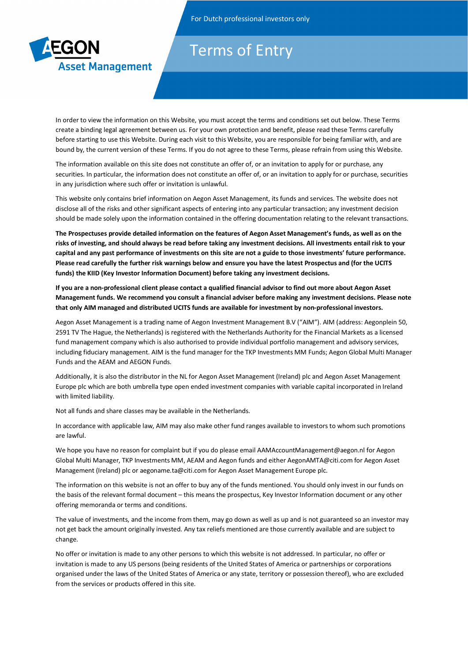

## Terms of Entry

In order to view the information on this Website, you must accept the terms and conditions set out below. These Terms create a binding legal agreement between us. For your own protection and benefit, please read these Terms carefully before starting to use this Website. During each visit to this Website, you are responsible for being familiar with, and are bound by, the current version of these Terms. If you do not agree to these Terms, please refrain from using this Website.

The information available on this site does not constitute an offer of, or an invitation to apply for or purchase, any securities. In particular, the information does not constitute an offer of, or an invitation to apply for or purchase, securities in any jurisdiction where such offer or invitation is unlawful.

This website only contains brief information on Aegon Asset Management, its funds and services. The website does not disclose all of the risks and other significant aspects of entering into any particular transaction; any investment decision should be made solely upon the information contained in the offering documentation relating to the relevant transactions.

**The Prospectuses provide detailed information on the features of Aegon Asset Management's funds, as well as on the risks of investing, and should always be read before taking any investment decisions. All investments entail risk to your capital and any past performance of investments on this site are not a guide to those investments' future performance. Please read carefully the further risk warnings below and ensure you have the latest Prospectus and (for the UCITS funds) the KIID (Key Investor Information Document) before taking any investment decisions.** 

**If you are a non-professional client please contact a qualified financial advisor to find out more about Aegon Asset Management funds. We recommend you consult a financial adviser before making any investment decisions. Please note that only AIM managed and distributed UCITS funds are available for investment by non-professional investors.**

Aegon Asset Management is a trading name of Aegon Investment Management B.V ("AIM"). AIM (address: Aegonplein 50, 2591 TV The Hague, the Netherlands) is registered with the Netherlands Authority for the Financial Markets as a licensed fund management company which is also authorised to provide individual portfolio management and advisory services, including fiduciary management. AIM is the fund manager for the TKP Investments MM Funds; Aegon Global Multi Manager Funds and the AEAM and AEGON Funds.

Additionally, it is also the distributor in the NL for Aegon Asset Management (Ireland) plc and Aegon Asset Management Europe plc which are both umbrella type open ended investment companies with variable capital incorporated in Ireland with limited liability.

Not all funds and share classes may be available in the Netherlands.

In accordance with applicable law, AIM may also make other fund ranges available to investors to whom such promotions are lawful.

We hope you have no reason for complaint but if you do please email AAMAccountManagement@aegon.nl for Aegon Global Multi Manager, TKP Investments MM, AEAM and Aegon funds and either AegonAMTA@citi.com for Aegon Asset Management (Ireland) plc or aegoname.ta@citi.com for Aegon Asset Management Europe plc.

The information on this website is not an offer to buy any of the funds mentioned. You should only invest in our funds on the basis of the relevant formal document – this means the prospectus, Key Investor Information document or any other offering memoranda or terms and conditions.

The value of investments, and the income from them, may go down as well as up and is not guaranteed so an investor may not get back the amount originally invested. Any tax reliefs mentioned are those currently available and are subject to change.

No offer or invitation is made to any other persons to which this website is not addressed. In particular, no offer or invitation is made to any US persons (being residents of the United States of America or partnerships or corporations organised under the laws of the United States of America or any state, territory or possession thereof), who are excluded from the services or products offered in this site.